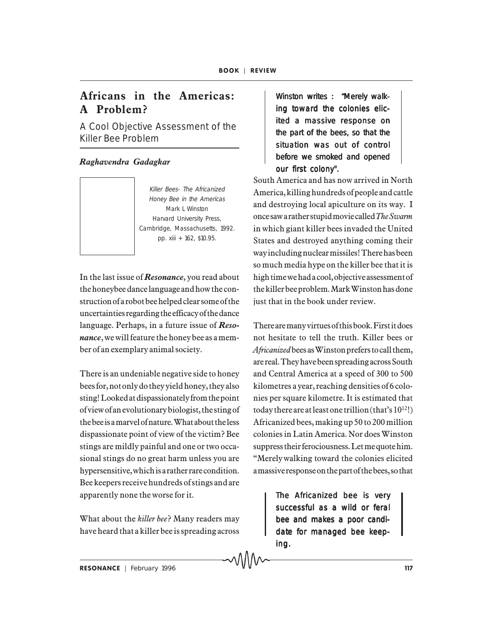## **Africans in the Americas: A Problem?**

A Cool Objective Assessment of the Killer Bee Problem

## *Raghavendra Gadagkar*

Killer Bees- The Africanized Honey Bee in the Americas Mark L Winston Harvard University Press, Cambridge, Massachusetts, 1992. pp. xiii + 162, \$10.95.

In the last issue of *Resonance*, you read about the honeybee dance language and how the construction of a robot bee helped clear some of the uncertainties regarding the efficacy of the dance language. Perhaps, in a future issue of *Resonance*, we will feature the honey bee as a member of an exemplary animal society.

There is an undeniable negative side to honey bees for, not only do they yield honey, they also sting! Looked at dispassionately from the point of view of an evolutionary biologist, the sting of the bee is a marvel of nature. What about the less dispassionate point of view of the victim? Bee stings are mildly painful and one or two occasional stings do no great harm unless you are hypersensitive, which is a rather rare condition. Bee keepers receive hundreds of stings and are apparently none the worse for it.

What about the *killer bee*? Many readers may have heard that a killer bee is spreading across

Winston writes : "Merely walking toward the colonies elicited a massive response on the part of the bees, so that the situation was out of control before we smoked and opened our first colony".

South America and has now arrived in North America, killing hundreds of people and cattle and destroying local apiculture on its way. I once saw a rather stupid movie called *The Swarm* in which giant killer bees invaded the United States and destroyed anything coming their way including nuclear missiles! There has been so much media hype on the killer bee that it is high time we had a cool, objective assessment of the killer bee problem. Mark Winston has done just that in the book under review.

There are many virtues of this book. First it does not hesitate to tell the truth. Killer bees or *Africanized* bees as Winston prefers to call them, are real. They have been spreading across South and Central America at a speed of 300 to 500 kilometres a year, reaching densities of 6 colonies per square kilometre. It is estimated that today there are at least one trillion (that's  $10^{12}$ !) Africanized bees, making up 50 to 200 million colonies in Latin America. Nor does Winston suppress their ferociousness. Let me quote him. "Merely walking toward the colonies elicited a massive response on the part of the bees, so that

> The Africanized bee is very successful as a wild or feral bee and makes a poor candidate for managed bee keeping.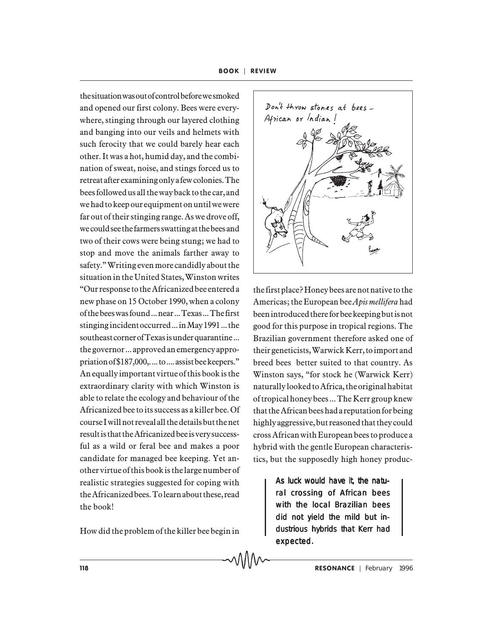the situation was out of control before we smoked and opened our first colony. Bees were everywhere, stinging through our layered clothing and banging into our veils and helmets with such ferocity that we could barely hear each other. It was a hot, humid day, and the combination of sweat, noise, and stings forced us to retreat after examining only a few colonies. The bees followed us all the way back to the car, and we had to keep our equipment on until we were far out of their stinging range. As we drove off, we could see the farmers swatting at the bees and two of their cows were being stung; we had to stop and move the animals farther away to safety." Writing even more candidly about the situation in the United States, Winston writes "Our response to the Africanized bee entered a new phase on 15 October 1990, when a colony of the bees was found ... near ... Texas ... The first stinging incident occurred ... in May 1991 ... the southeast corner of Texas is under quarantine ... the governor ... approved an emergency appropriation of \$187,000,. ... to .... assist bee keepers." An equally important virtue of this book is the extraordinary clarity with which Winston is able to relate the ecology and behaviour of the Africanized bee to its success as a killer bee. Of course I will not reveal all the details but the net result is that the Africanized bee is very successful as a wild or feral bee and makes a poor candidate for managed bee keeping. Yet another virtue of this book is the large number of realistic strategies suggested for coping with the Africanized bees. To learn about these, read the book!

How did the problem of the killer bee begin in



the first place? Honey bees are not native to the Americas; the European bee *Apis mellifera* had been introduced there for bee keeping but is not good for this purpose in tropical regions. The Brazilian government therefore asked one of their geneticists, Warwick Kerr, to import and breed bees better suited to that country. As Winston says, "for stock he (Warwick Kerr) naturally looked to Africa, the original habitat of tropical honey bees ... The Kerr group knew that the African bees had a reputation for being highly aggressive, but reasoned that they could cross African with European bees to produce a hybrid with the gentle European characteristics, but the supposedly high honey produc-

> As luck would have it, the natural crossing of African bees with the local Brazilian bees did not yield the mild but industrious hybrids that Kerr had expected.